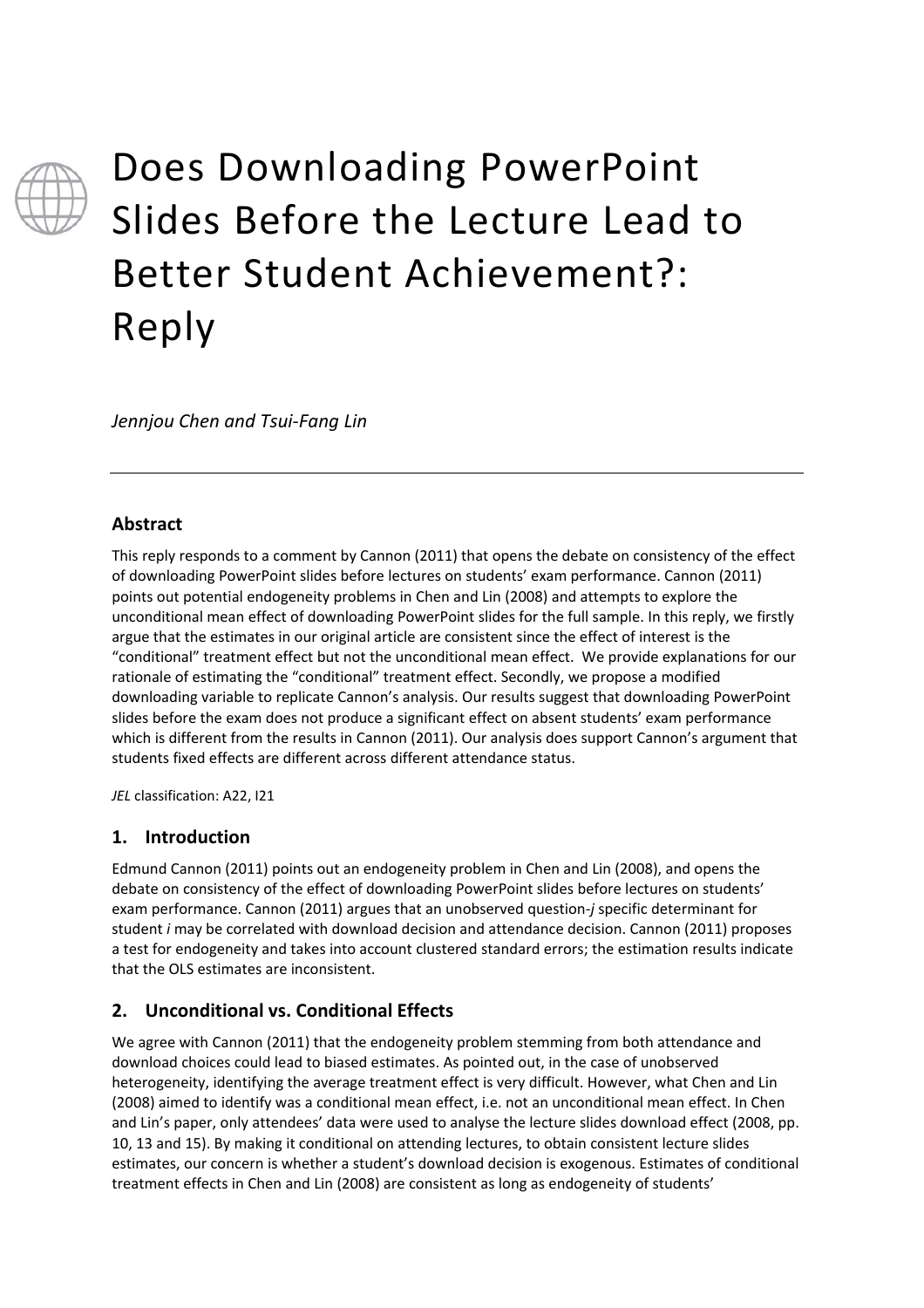

# Does Downloading PowerPoint Slides Before the Lecture Lead to Better Student Achievement?: Reply

*Jennjou Chen and Tsui‐Fang Lin*

## **Abstract**

This reply responds to a comment by Cannon (2011) that opens the debate on consistency of the effect of downloading PowerPoint slides before lectures on students' exam performance. Cannon (2011) points out potential endogeneity problems in Chen and Lin (2008) and attempts to explore the unconditional mean effect of downloading PowerPoint slides for the full sample. In this reply, we firstly argue that the estimates in our original article are consistent since the effect of interest is the "conditional" treatment effect but not the unconditional mean effect. We provide explanations for our rationale of estimating the "conditional" treatment effect. Secondly, we propose a modified downloading variable to replicate Cannon's analysis. Our results suggest that downloading PowerPoint slides before the exam does not produce a significant effect on absent students' exam performance which is different from the results in Cannon (2011). Our analysis does support Cannon's argument that students fixed effects are different across different attendance status.

*JEL* classification: A22, I21

### **1. Introduction**

Edmund Cannon (2011) points out an endogeneity problem in Chen and Lin (2008), and opens the debate on consistency of the effect of downloading PowerPoint slides before lectures on students' exam performance. Cannon (2011) argues that an unobserved question-*j* specific determinant for student *i* may be correlated with download decision and attendance decision. Cannon (2011) proposes a test for endogeneity and takes into account clustered standard errors; the estimation results indicate that the OLS estimates are inconsistent.

### **2. Unconditional vs. Conditional Effects**

We agree with Cannon (2011) that the endogeneity problem stemming from both attendance and download choices could lead to biased estimates. As pointed out, in the case of unobserved heterogeneity, identifying the average treatment effect is very difficult. However, what Chen and Lin (2008) aimed to identify was a conditional mean effect, i.e. not an unconditional mean effect. In Chen and Lin's paper, only attendees' data were used to analyse the lecture slides download effect (2008, pp. 10, 13 and 15). By making it conditional on attending lectures, to obtain consistent lecture slides estimates, our concern is whether a student's download decision is exogenous. Estimates of conditional treatment effects in Chen and Lin (2008) are consistent as long as endogeneity of students'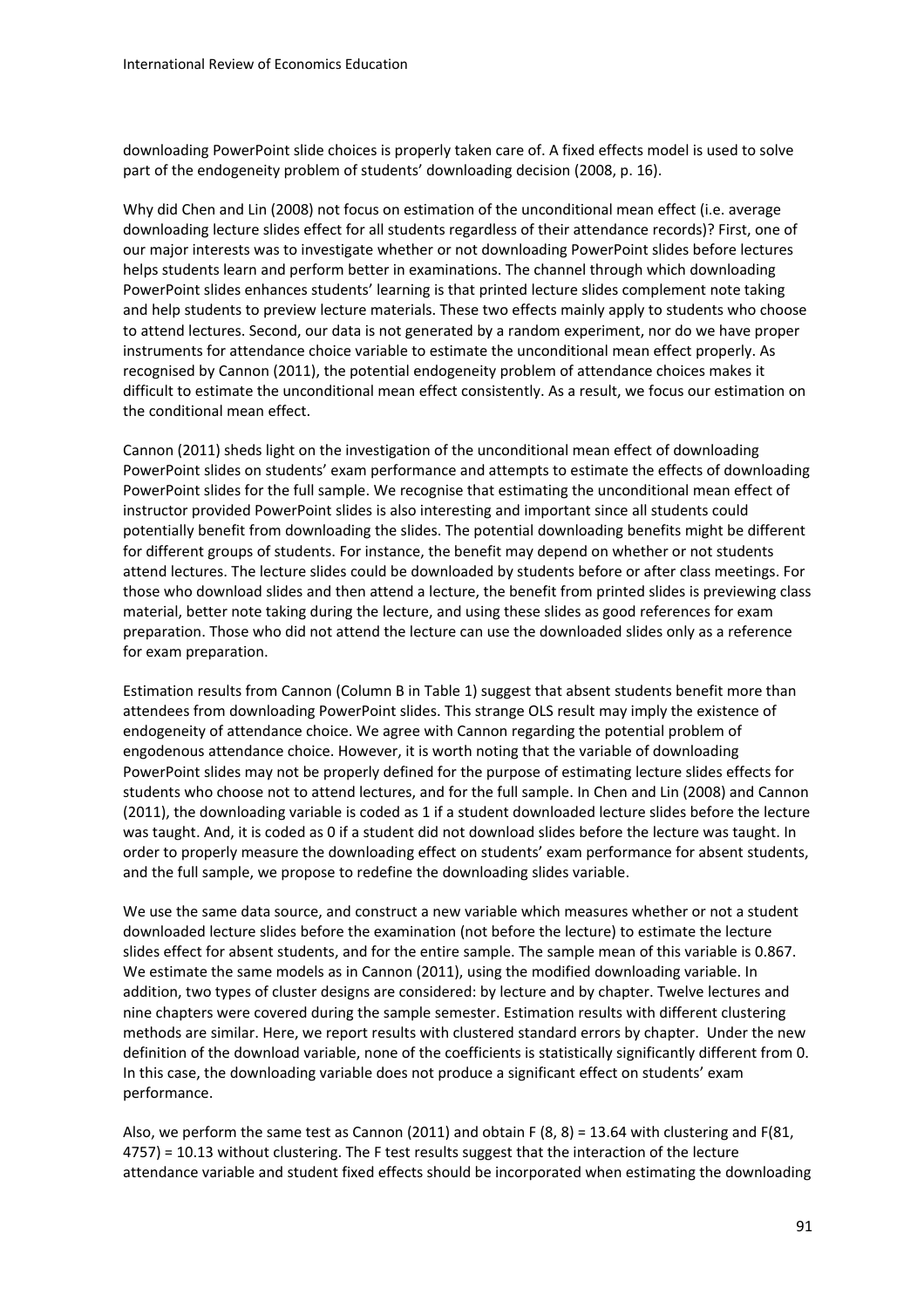downloading PowerPoint slide choices is properly taken care of. A fixed effects model is used to solve part of the endogeneity problem of students' downloading decision (2008, p. 16).

Why did Chen and Lin (2008) not focus on estimation of the unconditional mean effect (i.e. average downloading lecture slides effect for all students regardless of their attendance records)? First, one of our major interests was to investigate whether or not downloading PowerPoint slides before lectures helps students learn and perform better in examinations. The channel through which downloading PowerPoint slides enhances students' learning is that printed lecture slides complement note taking and help students to preview lecture materials. These two effects mainly apply to students who choose to attend lectures. Second, our data is not generated by a random experiment, nor do we have proper instruments for attendance choice variable to estimate the unconditional mean effect properly. As recognised by Cannon (2011), the potential endogeneity problem of attendance choices makes it difficult to estimate the unconditional mean effect consistently. As a result, we focus our estimation on the conditional mean effect.

Cannon (2011) sheds light on the investigation of the unconditional mean effect of downloading PowerPoint slides on students' exam performance and attempts to estimate the effects of downloading PowerPoint slides for the full sample. We recognise that estimating the unconditional mean effect of instructor provided PowerPoint slides is also interesting and important since all students could potentially benefit from downloading the slides. The potential downloading benefits might be different for different groups of students. For instance, the benefit may depend on whether or not students attend lectures. The lecture slides could be downloaded by students before or after class meetings. For those who download slides and then attend a lecture, the benefit from printed slides is previewing class material, better note taking during the lecture, and using these slides as good references for exam preparation. Those who did not attend the lecture can use the downloaded slides only as a reference for exam preparation.

Estimation results from Cannon (Column B in Table 1) suggest that absent students benefit more than attendees from downloading PowerPoint slides. This strange OLS result may imply the existence of endogeneity of attendance choice. We agree with Cannon regarding the potential problem of engodenous attendance choice. However, it is worth noting that the variable of downloading PowerPoint slides may not be properly defined for the purpose of estimating lecture slides effects for students who choose not to attend lectures, and for the full sample. In Chen and Lin (2008) and Cannon (2011), the downloading variable is coded as 1 if a student downloaded lecture slides before the lecture was taught. And, it is coded as 0 if a student did not download slides before the lecture was taught. In order to properly measure the downloading effect on students' exam performance for absent students, and the full sample, we propose to redefine the downloading slides variable.

We use the same data source, and construct a new variable which measures whether or not a student downloaded lecture slides before the examination (not before the lecture) to estimate the lecture slides effect for absent students, and for the entire sample. The sample mean of this variable is 0.867. We estimate the same models as in Cannon (2011), using the modified downloading variable. In addition, two types of cluster designs are considered: by lecture and by chapter. Twelve lectures and nine chapters were covered during the sample semester. Estimation results with different clustering methods are similar. Here, we report results with clustered standard errors by chapter. Under the new definition of the download variable, none of the coefficients is statistically significantly different from 0. In this case, the downloading variable does not produce a significant effect on students' exam performance.

Also, we perform the same test as Cannon (2011) and obtain F  $(8, 8) = 13.64$  with clustering and F $(81, 8)$ 4757) = 10.13 without clustering. The F test results suggest that the interaction of the lecture attendance variable and student fixed effects should be incorporated when estimating the downloading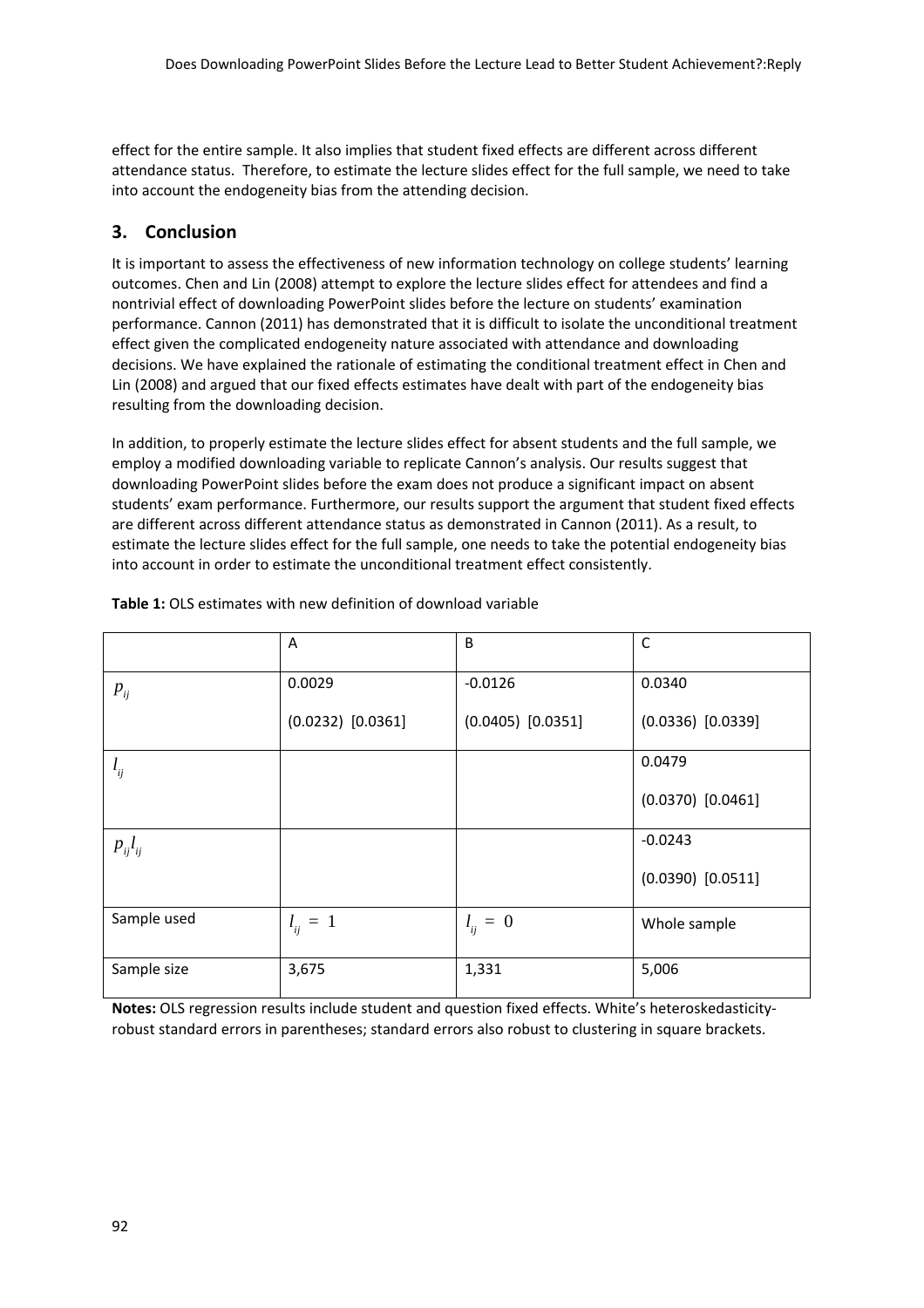effect for the entire sample. It also implies that student fixed effects are different across different attendance status. Therefore, to estimate the lecture slides effect for the full sample, we need to take into account the endogeneity bias from the attending decision.

# **3. Conclusion**

It is important to assess the effectiveness of new information technology on college students' learning outcomes. Chen and Lin (2008) attempt to explore the lecture slides effect for attendees and find a nontrivial effect of downloading PowerPoint slides before the lecture on students' examination performance. Cannon (2011) has demonstrated that it is difficult to isolate the unconditional treatment effect given the complicated endogeneity nature associated with attendance and downloading decisions. We have explained the rationale of estimating the conditional treatment effect in Chen and Lin (2008) and argued that our fixed effects estimates have dealt with part of the endogeneity bias resulting from the downloading decision.

In addition, to properly estimate the lecture slides effect for absent students and the full sample, we employ a modified downloading variable to replicate Cannon's analysis. Our results suggest that downloading PowerPoint slides before the exam does not produce a significant impact on absent students' exam performance. Furthermore, our results support the argument that student fixed effects are different across different attendance status as demonstrated in Cannon (2011). As a result, to estimate the lecture slides effect for the full sample, one needs to take the potential endogeneity bias into account in order to estimate the unconditional treatment effect consistently.

|                | A                     | B                     | $\mathsf{C}$          |
|----------------|-----------------------|-----------------------|-----------------------|
| $P_{ij}$       | 0.0029                | $-0.0126$             | 0.0340                |
|                | $(0.0232)$ $[0.0361]$ | $(0.0405)$ $[0.0351]$ | $(0.0336)$ $[0.0339]$ |
| $l_{ij}$       |                       |                       | 0.0479                |
|                |                       |                       | $(0.0370)$ $[0.0461]$ |
| $p_{ij}l_{ij}$ |                       |                       | $-0.0243$             |
|                |                       |                       | $(0.0390)$ $[0.0511]$ |
| Sample used    | $l_{ij} = 1$          | $l_{ij} = 0$          | Whole sample          |
| Sample size    | 3,675                 | 1,331                 | 5,006                 |

**Table 1:** OLS estimates with new definition of download variable

**Notes:** OLS regression results include student and question fixed effects. White's heteroskedasticity‐ robust standard errors in parentheses; standard errors also robust to clustering in square brackets.